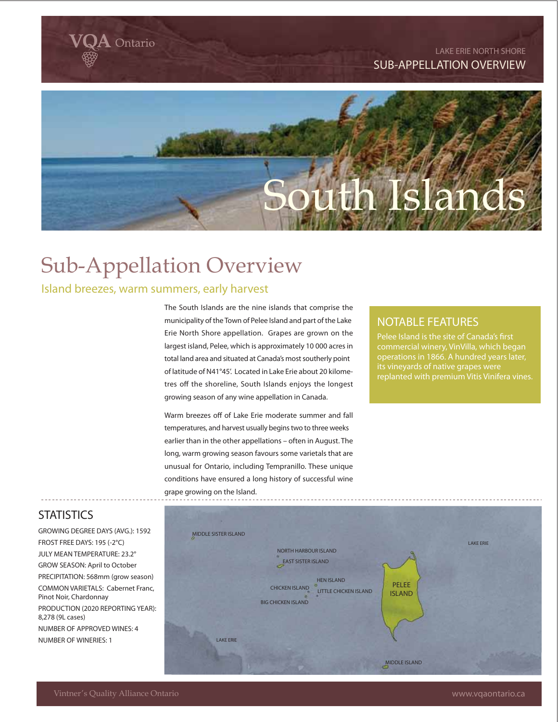**LAKE ERIE NORTH SHORE SUB-APPELLATION OVERVIEW**

# **Islands**

# Sub-Appellation Overview

## Island breezes, warm summers, early harvest

Ontario

The South Islands are the nine islands that comprise the municipality of the Town of Pelee Island and part of the Lake Erie North Shore appellation. Grapes are grown on the largest island, Pelee, which is approximately 10 000 acres in total land area and situated at Canada's most southerly point of latitude of N41°45'. Located in Lake Erie about 20 kilometres off the shoreline, South Islands enjoys the longest growing season of any wine appellation in Canada.

Warm breezes off of Lake Erie moderate summer and fall temperatures, and harvest usually begins two to three weeks earlier than in the other appellations – often in August. The long, warm growing season favours some varietals that are unusual for Ontario, including Tempranillo. These unique conditions have ensured a long history of successful wine grape growing on the Island.

# **NOTABLE FEATURES**

commercial winery, VinVilla, which began its vineyards of native grapes were

# **STATISTICS**

**GROWING DEGREE DAYS (AVG.): 1592 FROST FREE DAYS: 195 (-2°C) JULY MEAN TEMPERATURE: 23.2° GROW SEASON: April to October PRECIPITATION: 568mm (grow season) COMMON VARIETALS: Cabernet Franc, Pinot Noir, Chardonnay PRODUCTION (2020 REPORTING YEAR): 8,278 (9L cases) NUMBER OF APPROVED WINES: 4 NUMBER OF WINERIES: 1**